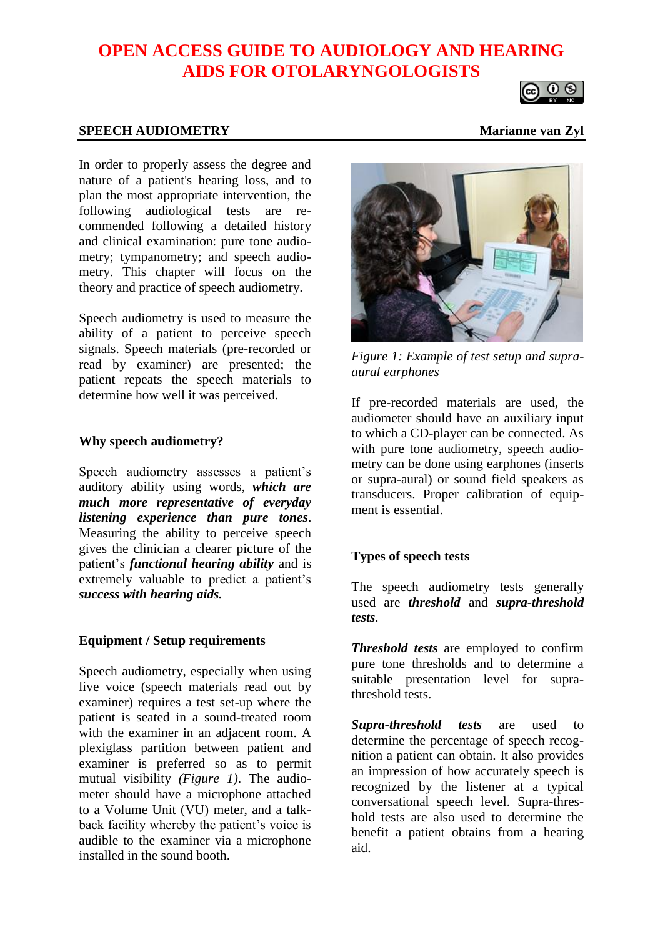# **OPEN ACCESS GUIDE TO AUDIOLOGY AND HEARING AIDS FOR OTOLARYNGOLOGISTS**



#### **SPEECH AUDIOMETRY** Marianne van Zyl

In order to properly assess the degree and nature of a patient's hearing loss, and to plan the most appropriate intervention, the following audiological tests are recommended following a detailed history and clinical examination: pure tone audiometry; tympanometry; and speech audiometry. This chapter will focus on the theory and practice of speech audiometry.

Speech audiometry is used to measure the ability of a patient to perceive speech signals. Speech materials (pre-recorded or read by examiner) are presented; the patient repeats the speech materials to determine how well it was perceived.

#### **Why speech audiometry?**

Speech audiometry assesses a patient's auditory ability using words, *which are much more representative of everyday listening experience than pure tones*. Measuring the ability to perceive speech gives the clinician a clearer picture of the patient's *functional hearing ability* and is extremely valuable to predict a patient's *success with hearing aids.*

#### **Equipment / Setup requirements**

Speech audiometry, especially when using live voice (speech materials read out by examiner) requires a test set-up where the patient is seated in a sound-treated room with the examiner in an adjacent room. A plexiglass partition between patient and examiner is preferred so as to permit mutual visibility *(Figure 1)*. The audiometer should have a microphone attached to a Volume Unit (VU) meter, and a talkback facility whereby the patient's voice is audible to the examiner via a microphone installed in the sound booth.



*Figure 1: Example of test setup and supraaural earphones*

If pre-recorded materials are used, the audiometer should have an auxiliary input to which a CD-player can be connected. As with pure tone audiometry, speech audiometry can be done using earphones (inserts or supra-aural) or sound field speakers as transducers. Proper calibration of equipment is essential.

# **Types of speech tests**

The speech audiometry tests generally used are *threshold* and *supra-threshold tests*.

*Threshold tests* are employed to confirm pure tone thresholds and to determine a suitable presentation level for suprathreshold tests.

*Supra-threshold tests* are used to determine the percentage of speech recognition a patient can obtain. It also provides an impression of how accurately speech is recognized by the listener at a typical conversational speech level. Supra-threshold tests are also used to determine the benefit a patient obtains from a hearing aid.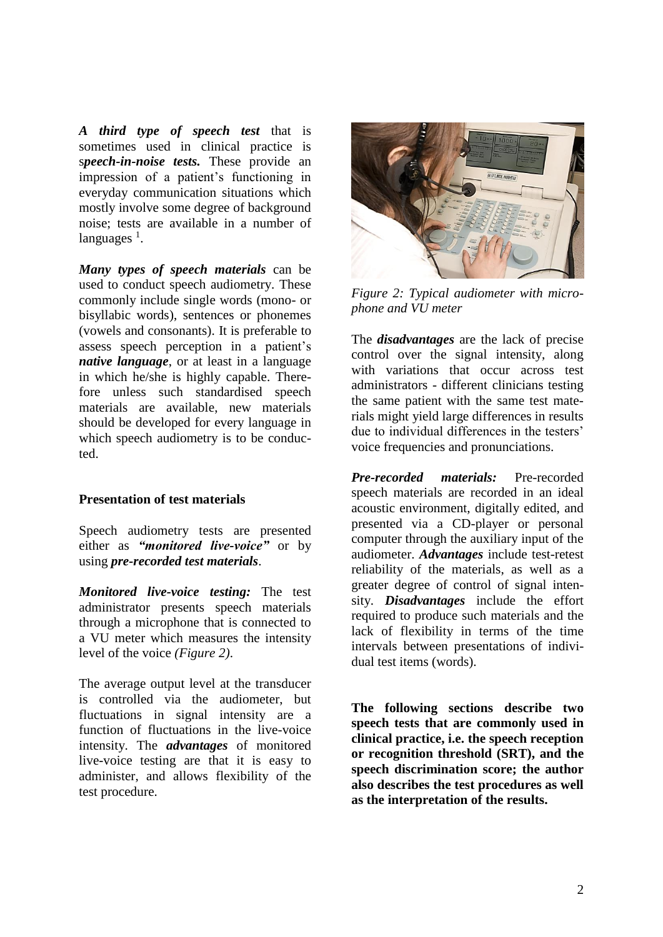*A third type of speech test* that is sometimes used in clinical practice is s*peech-in-noise tests.* These provide an impression of a patient's functioning in everyday communication situations which mostly involve some degree of background noise; tests are available in a number of languages <sup>1</sup>.

*Many types of speech materials* can be used to conduct speech audiometry. These commonly include single words (mono- or bisyllabic words), sentences or phonemes (vowels and consonants). It is preferable to assess speech perception in a patient's *native language*, or at least in a language in which he/she is highly capable. Therefore unless such standardised speech materials are available, new materials should be developed for every language in which speech audiometry is to be conducted.

#### **Presentation of test materials**

Speech audiometry tests are presented either as *"monitored live-voice"* or by using *pre-recorded test materials*.

*Monitored live-voice testing:* The test administrator presents speech materials through a microphone that is connected to a VU meter which measures the intensity level of the voice *(Figure 2)*.

The average output level at the transducer is controlled via the audiometer, but fluctuations in signal intensity are a function of fluctuations in the live-voice intensity. The *advantages* of monitored live-voice testing are that it is easy to administer, and allows flexibility of the test procedure.



*Figure 2: Typical audiometer with microphone and VU meter*

The *disadvantages* are the lack of precise control over the signal intensity, along with variations that occur across test administrators - different clinicians testing the same patient with the same test materials might yield large differences in results due to individual differences in the testers' voice frequencies and pronunciations.

*Pre-recorded materials:* Pre-recorded speech materials are recorded in an ideal acoustic environment, digitally edited, and presented via a CD-player or personal computer through the auxiliary input of the audiometer. *Advantages* include test-retest reliability of the materials, as well as a greater degree of control of signal intensity. *Disadvantages* include the effort required to produce such materials and the lack of flexibility in terms of the time intervals between presentations of individual test items (words).

**The following sections describe two speech tests that are commonly used in clinical practice, i.e. the speech reception or recognition threshold (SRT), and the speech discrimination score; the author also describes the test procedures as well as the interpretation of the results.**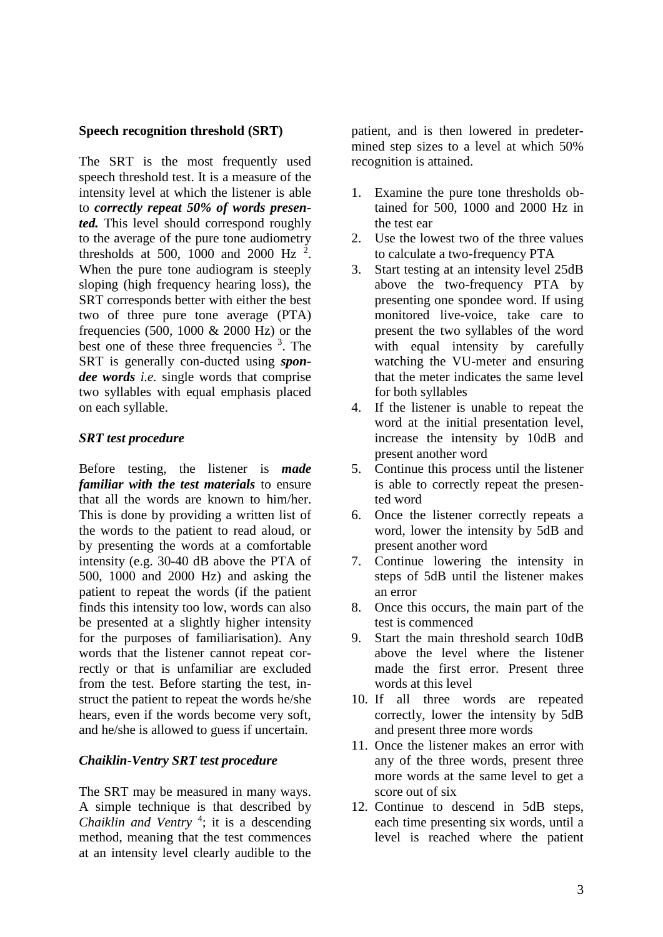# **Speech recognition threshold (SRT)**

The SRT is the most frequently used speech threshold test. It is a measure of the intensity level at which the listener is able to *correctly repeat 50% of words presented.* This level should correspond roughly to the average of the pure tone audiometry thresholds at 500, 1000 and 2000 Hz  $^2$ . When the pure tone audiogram is steeply sloping (high frequency hearing loss), the SRT corresponds better with either the best two of three pure tone average (PTA) frequencies (500, 1000 & 2000 Hz) or the best one of these three frequencies <sup>3</sup>. The SRT is generally con-ducted using *spondee words i.e.* single words that comprise two syllables with equal emphasis placed on each syllable.

# *SRT test procedure*

Before testing, the listener is *made familiar with the test materials* to ensure that all the words are known to him/her. This is done by providing a written list of the words to the patient to read aloud, or by presenting the words at a comfortable intensity (e.g. 30-40 dB above the PTA of 500, 1000 and 2000 Hz) and asking the patient to repeat the words (if the patient finds this intensity too low, words can also be presented at a slightly higher intensity for the purposes of familiarisation). Any words that the listener cannot repeat correctly or that is unfamiliar are excluded from the test. Before starting the test, instruct the patient to repeat the words he/she hears, even if the words become very soft, and he/she is allowed to guess if uncertain.

# *Chaiklin-Ventry SRT test procedure*

The SRT may be measured in many ways. A simple technique is that described by *Chaiklin and Ventry* <sup>4</sup> ; it is a descending method, meaning that the test commences at an intensity level clearly audible to the

patient, and is then lowered in predetermined step sizes to a level at which 50% recognition is attained.

- 1. Examine the pure tone thresholds obtained for 500, 1000 and 2000 Hz in the test ear
- 2. Use the lowest two of the three values to calculate a two-frequency PTA
- 3. Start testing at an intensity level 25dB above the two-frequency PTA by presenting one spondee word. If using monitored live-voice, take care to present the two syllables of the word with equal intensity by carefully watching the VU-meter and ensuring that the meter indicates the same level for both syllables
- 4. If the listener is unable to repeat the word at the initial presentation level, increase the intensity by 10dB and present another word
- 5. Continue this process until the listener is able to correctly repeat the presented word
- 6. Once the listener correctly repeats a word, lower the intensity by 5dB and present another word
- 7. Continue lowering the intensity in steps of 5dB until the listener makes an error
- 8. Once this occurs, the main part of the test is commenced
- 9. Start the main threshold search 10dB above the level where the listener made the first error. Present three words at this level
- 10. If all three words are repeated correctly, lower the intensity by 5dB and present three more words
- 11. Once the listener makes an error with any of the three words, present three more words at the same level to get a score out of six
- 12. Continue to descend in 5dB steps, each time presenting six words, until a level is reached where the patient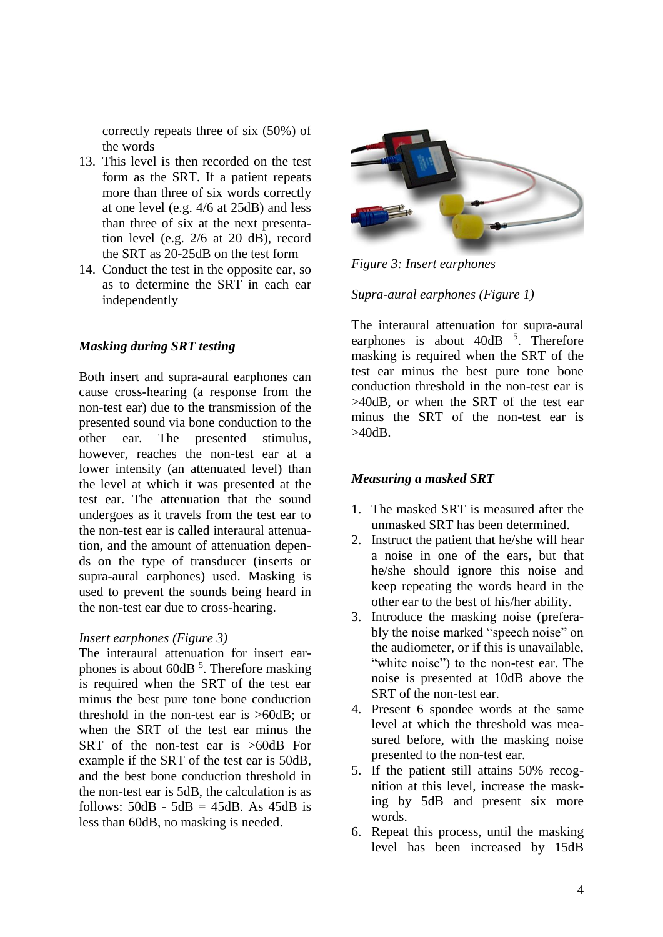correctly repeats three of six (50%) of the words

- 13. This level is then recorded on the test form as the SRT. If a patient repeats more than three of six words correctly at one level (e.g. 4/6 at 25dB) and less than three of six at the next presentation level (e.g. 2/6 at 20 dB), record the SRT as 20-25dB on the test form
- 14. Conduct the test in the opposite ear, so as to determine the SRT in each ear independently

# *Masking during SRT testing*

Both insert and supra-aural earphones can cause cross-hearing (a response from the non-test ear) due to the transmission of the presented sound via bone conduction to the other ear. The presented stimulus, however, reaches the non-test ear at a lower intensity (an attenuated level) than the level at which it was presented at the test ear. The attenuation that the sound undergoes as it travels from the test ear to the non-test ear is called interaural attenuation, and the amount of attenuation depends on the type of transducer (inserts or supra-aural earphones) used. Masking is used to prevent the sounds being heard in the non-test ear due to cross-hearing.

#### *Insert earphones (Figure 3)*

The interaural attenuation for insert earphones is about 60dB <sup>5</sup>. Therefore masking is required when the SRT of the test ear minus the best pure tone bone conduction threshold in the non-test ear is >60dB; or when the SRT of the test ear minus the SRT of the non-test ear is >60dB For example if the SRT of the test ear is 50dB, and the best bone conduction threshold in the non-test ear is 5dB, the calculation is as follows:  $50dB - 5dB = 45dB$ . As  $45dB$  is less than 60dB, no masking is needed.



*Figure 3: Insert earphones*

# *Supra-aural earphones (Figure 1)*

The interaural attenuation for supra-aural earphones is about  $40dB$ <sup>5</sup>. Therefore masking is required when the SRT of the test ear minus the best pure tone bone conduction threshold in the non-test ear is >40dB, or when the SRT of the test ear minus the SRT of the non-test ear is >40dB.

#### *Measuring a masked SRT*

- 1. The masked SRT is measured after the unmasked SRT has been determined.
- 2. Instruct the patient that he/she will hear a noise in one of the ears, but that he/she should ignore this noise and keep repeating the words heard in the other ear to the best of his/her ability.
- 3. Introduce the masking noise (preferably the noise marked "speech noise" on the audiometer, or if this is unavailable, "white noise") to the non-test ear. The noise is presented at 10dB above the SRT of the non-test ear.
- 4. Present 6 spondee words at the same level at which the threshold was measured before, with the masking noise presented to the non-test ear.
- 5. If the patient still attains 50% recognition at this level, increase the masking by 5dB and present six more words.
- 6. Repeat this process, until the masking level has been increased by 15dB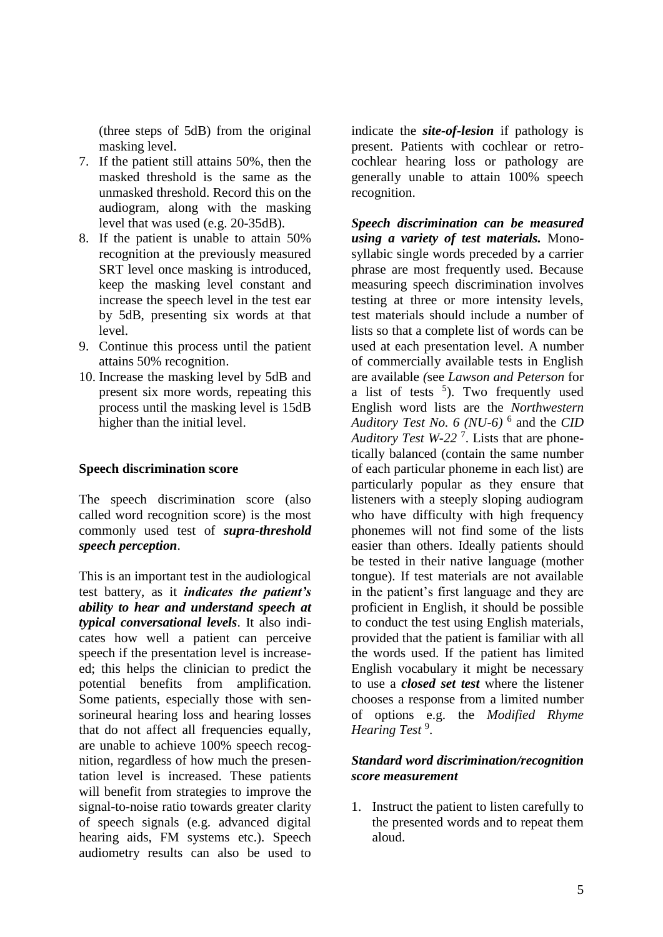(three steps of 5dB) from the original masking level.

- 7. If the patient still attains 50%, then the masked threshold is the same as the unmasked threshold. Record this on the audiogram, along with the masking level that was used (e.g. 20-35dB).
- 8. If the patient is unable to attain 50% recognition at the previously measured SRT level once masking is introduced, keep the masking level constant and increase the speech level in the test ear by 5dB, presenting six words at that level.
- 9. Continue this process until the patient attains 50% recognition.
- 10. Increase the masking level by 5dB and present six more words, repeating this process until the masking level is 15dB higher than the initial level.

# **Speech discrimination score**

The speech discrimination score (also called word recognition score) is the most commonly used test of *supra-threshold speech perception*.

This is an important test in the audiological test battery, as it *indicates the patient's ability to hear and understand speech at typical conversational levels*. It also indicates how well a patient can perceive speech if the presentation level is increaseed; this helps the clinician to predict the potential benefits from amplification. Some patients, especially those with sensorineural hearing loss and hearing losses that do not affect all frequencies equally, are unable to achieve 100% speech recognition, regardless of how much the presentation level is increased. These patients will benefit from strategies to improve the signal-to-noise ratio towards greater clarity of speech signals (e.g. advanced digital hearing aids, FM systems etc.). Speech audiometry results can also be used to

indicate the *site-of-lesion* if pathology is present. Patients with cochlear or retrocochlear hearing loss or pathology are generally unable to attain 100% speech recognition.

*Speech discrimination can be measured using a variety of test materials.* Monosyllabic single words preceded by a carrier phrase are most frequently used. Because measuring speech discrimination involves testing at three or more intensity levels, test materials should include a number of lists so that a complete list of words can be used at each presentation level. A number of commercially available tests in English are available *(*see *Lawson and Peterson* for a list of tests  $5$ ). Two frequently used English word lists are the *Northwestern Auditory Test No. 6 (NU-6)* <sup>6</sup> and the *CID Auditory Test W-22* <sup>7</sup> . Lists that are phonetically balanced (contain the same number of each particular phoneme in each list) are particularly popular as they ensure that listeners with a steeply sloping audiogram who have difficulty with high frequency phonemes will not find some of the lists easier than others. Ideally patients should be tested in their native language (mother tongue). If test materials are not available in the patient's first language and they are proficient in English, it should be possible to conduct the test using English materials, provided that the patient is familiar with all the words used. If the patient has limited English vocabulary it might be necessary to use a *closed set test* where the listener chooses a response from a limited number of options e.g. the *Modified Rhyme Hearing Test* <sup>9</sup> .

# *Standard word discrimination/recognition score measurement*

1. Instruct the patient to listen carefully to the presented words and to repeat them aloud.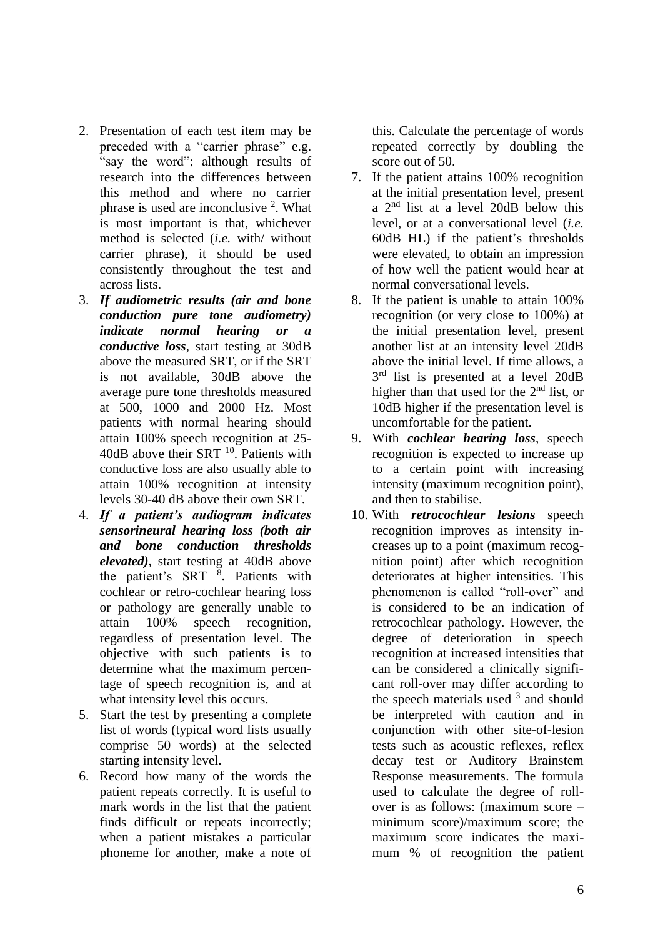- 2. Presentation of each test item may be preceded with a "carrier phrase" e.g. "say the word"; although results of research into the differences between this method and where no carrier phrase is used are inconclusive <sup>2</sup>. What is most important is that, whichever method is selected (*i.e.* with/ without carrier phrase), it should be used consistently throughout the test and across lists.
- 3. *If audiometric results (air and bone conduction pure tone audiometry) indicate normal hearing or a conductive loss*, start testing at 30dB above the measured SRT, or if the SRT is not available, 30dB above the average pure tone thresholds measured at 500, 1000 and 2000 Hz. Most patients with normal hearing should attain 100% speech recognition at 25-  $40$ dB above their SRT  $^{10}$ . Patients with conductive loss are also usually able to attain 100% recognition at intensity levels 30-40 dB above their own SRT.
- 4. *If a patient's audiogram indicates sensorineural hearing loss (both air and bone conduction thresholds elevated)*, start testing at 40dB above the patient's SRT <sup>8</sup>. Patients with cochlear or retro-cochlear hearing loss or pathology are generally unable to attain 100% speech recognition, regardless of presentation level. The objective with such patients is to determine what the maximum percentage of speech recognition is, and at what intensity level this occurs.
- 5. Start the test by presenting a complete list of words (typical word lists usually comprise 50 words) at the selected starting intensity level.
- 6. Record how many of the words the patient repeats correctly. It is useful to mark words in the list that the patient finds difficult or repeats incorrectly; when a patient mistakes a particular phoneme for another, make a note of

this. Calculate the percentage of words repeated correctly by doubling the score out of 50.

- 7. If the patient attains 100% recognition at the initial presentation level, present a 2 nd list at a level 20dB below this level, or at a conversational level (*i.e.* 60dB HL) if the patient's thresholds were elevated, to obtain an impression of how well the patient would hear at normal conversational levels.
- 8. If the patient is unable to attain 100% recognition (or very close to 100%) at the initial presentation level, present another list at an intensity level 20dB above the initial level. If time allows, a  $3<sup>rd</sup>$  list is presented at a level 20dB higher than that used for the  $2<sup>nd</sup>$  list, or 10dB higher if the presentation level is uncomfortable for the patient.
- 9. With *cochlear hearing loss*, speech recognition is expected to increase up to a certain point with increasing intensity (maximum recognition point), and then to stabilise.
- 10. With *retrocochlear lesions* speech recognition improves as intensity increases up to a point (maximum recognition point) after which recognition deteriorates at higher intensities. This phenomenon is called "roll-over" and is considered to be an indication of retrocochlear pathology. However, the degree of deterioration in speech recognition at increased intensities that can be considered a clinically significant roll-over may differ according to the speech materials used  $3$  and should be interpreted with caution and in conjunction with other site-of-lesion tests such as acoustic reflexes, reflex decay test or Auditory Brainstem Response measurements. The formula used to calculate the degree of rollover is as follows: (maximum score – minimum score)/maximum score; the maximum score indicates the maximum % of recognition the patient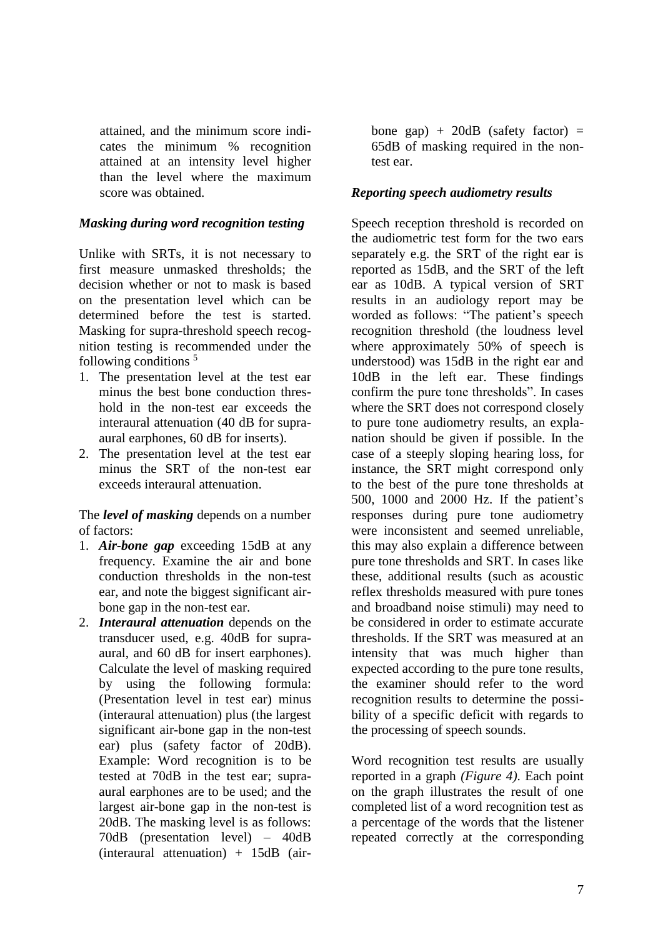attained, and the minimum score indicates the minimum % recognition attained at an intensity level higher than the level where the maximum score was obtained.

# *Masking during word recognition testing*

Unlike with SRTs, it is not necessary to first measure unmasked thresholds; the decision whether or not to mask is based on the presentation level which can be determined before the test is started. Masking for supra-threshold speech recognition testing is recommended under the following conditions  $5$ 

- 1. The presentation level at the test ear minus the best bone conduction threshold in the non-test ear exceeds the interaural attenuation (40 dB for supraaural earphones, 60 dB for inserts).
- 2. The presentation level at the test ear minus the SRT of the non-test ear exceeds interaural attenuation.

The *level of masking* depends on a number of factors:

- 1. *Air-bone gap* exceeding 15dB at any frequency. Examine the air and bone conduction thresholds in the non-test ear, and note the biggest significant airbone gap in the non-test ear.
- 2. *Interaural attenuation* depends on the transducer used, e.g. 40dB for supraaural, and 60 dB for insert earphones). Calculate the level of masking required by using the following formula: (Presentation level in test ear) minus (interaural attenuation) plus (the largest significant air-bone gap in the non-test ear) plus (safety factor of 20dB). Example: Word recognition is to be tested at 70dB in the test ear; supraaural earphones are to be used; and the largest air-bone gap in the non-test is 20dB. The masking level is as follows: 70dB (presentation level) – 40dB (interaural attenuation) + 15dB (air-

bone gap) +  $20dB$  (safety factor) = 65dB of masking required in the nontest ear.

# *Reporting speech audiometry results*

Speech reception threshold is recorded on the audiometric test form for the two ears separately e.g. the SRT of the right ear is reported as 15dB, and the SRT of the left ear as 10dB. A typical version of SRT results in an audiology report may be worded as follows: "The patient's speech recognition threshold (the loudness level where approximately 50% of speech is understood) was 15dB in the right ear and 10dB in the left ear. These findings confirm the pure tone thresholds". In cases where the SRT does not correspond closely to pure tone audiometry results, an explanation should be given if possible. In the case of a steeply sloping hearing loss, for instance, the SRT might correspond only to the best of the pure tone thresholds at 500, 1000 and 2000 Hz. If the patient's responses during pure tone audiometry were inconsistent and seemed unreliable, this may also explain a difference between pure tone thresholds and SRT. In cases like these, additional results (such as acoustic reflex thresholds measured with pure tones and broadband noise stimuli) may need to be considered in order to estimate accurate thresholds. If the SRT was measured at an intensity that was much higher than expected according to the pure tone results, the examiner should refer to the word recognition results to determine the possibility of a specific deficit with regards to the processing of speech sounds.

Word recognition test results are usually reported in a graph *(Figure 4)*. Each point on the graph illustrates the result of one completed list of a word recognition test as a percentage of the words that the listener repeated correctly at the corresponding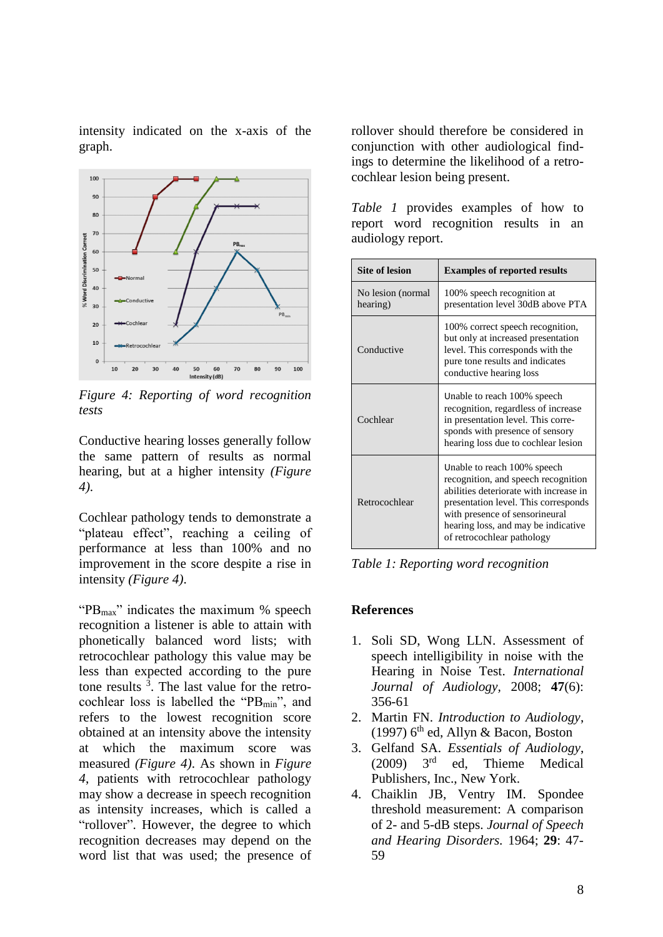intensity indicated on the x-axis of the graph.



*Figure 4: Reporting of word recognition tests*

Conductive hearing losses generally follow the same pattern of results as normal hearing, but at a higher intensity *(Figure 4)*.

Cochlear pathology tends to demonstrate a "plateau effect", reaching a ceiling of performance at less than 100% and no improvement in the score despite a rise in intensity *(Figure 4)*.

" $PB<sub>max</sub>$ " indicates the maximum % speech" recognition a listener is able to attain with phonetically balanced word lists; with retrocochlear pathology this value may be less than expected according to the pure tone results  $3$ . The last value for the retrocochlear loss is labelled the " $PB_{min}$ ", and refers to the lowest recognition score obtained at an intensity above the intensity at which the maximum score was measured *(Figure 4)*. As shown in *Figure 4*, patients with retrocochlear pathology may show a decrease in speech recognition as intensity increases, which is called a "rollover". However, the degree to which recognition decreases may depend on the word list that was used; the presence of rollover should therefore be considered in conjunction with other audiological findings to determine the likelihood of a retrocochlear lesion being present.

|                   |  |  | <i>Table 1</i> provides examples of how to |  |  |  |  |  |
|-------------------|--|--|--------------------------------------------|--|--|--|--|--|
|                   |  |  | report word recognition results in an      |  |  |  |  |  |
| audiology report. |  |  |                                            |  |  |  |  |  |

| <b>Site of lesion</b>         | <b>Examples of reported results</b>                                                                                                                                                                                                                          |  |  |  |
|-------------------------------|--------------------------------------------------------------------------------------------------------------------------------------------------------------------------------------------------------------------------------------------------------------|--|--|--|
| No lesion (normal<br>hearing) | 100% speech recognition at<br>presentation level 30dB above PTA                                                                                                                                                                                              |  |  |  |
| Conductive                    | 100% correct speech recognition,<br>but only at increased presentation<br>level. This corresponds with the<br>pure tone results and indicates<br>conductive hearing loss                                                                                     |  |  |  |
| Cochlear                      | Unable to reach 100% speech<br>recognition, regardless of increase<br>in presentation level. This corre-<br>sponds with presence of sensory<br>hearing loss due to cochlear lesion                                                                           |  |  |  |
| Retrocochlear                 | Unable to reach 100% speech<br>recognition, and speech recognition<br>abilities deteriorate with increase in<br>presentation level. This corresponds<br>with presence of sensorineural<br>hearing loss, and may be indicative.<br>of retrocochlear pathology |  |  |  |

*Table 1: Reporting word recognition*

#### **References**

- 1. Soli SD, Wong LLN. Assessment of speech intelligibility in noise with the Hearing in Noise Test. *International Journal of Audiology,* 2008; **47**(6): 356-61
- 2. Martin FN. *Introduction to Audiology*, (1997) 6<sup>th</sup> ed, Allyn & Bacon, Boston
- 3. Gelfand SA. *Essentials of Audiology*,  $(2009)$   $3<sup>rd</sup>$ ed. Thieme Medical Publishers, Inc., New York.
- 4. Chaiklin JB, Ventry IM. Spondee threshold measurement: A comparison of 2- and 5-dB steps. *Journal of Speech and Hearing Disorders.* 1964; **29**: 47- 59